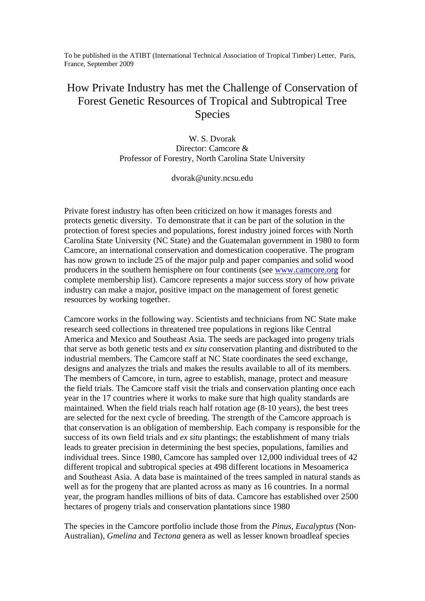To be published in the ATIBT (International Technical Association of Tropical Timber) Letter, Paris, France, September 2009

## How Private Industry has met the Challenge of Conservation of Forest Genetic Resources of Tropical and Subtropical Tree Species

W. S. Dvorak Director: Camcore & Professor of Forestry, North Carolina State University

dvorak@unity.ncsu.edu

Private forest industry has often been criticized on how it manages forests and protects genetic diversity. To demonstrate that it can be part of the solution in the protection of forest species and populations, forest industry joined forces with North Carolina State University (NC State) and the Guatemalan government in 1980 to form Camcore, an international conservation and domestication cooperative. The program has now grown to include 25 of the major pulp and paper companies and solid wood producers in the southern hemisphere on four continents (see [www.camcore.org](http://www.camcore.org/) for complete membership list). Camcore represents a major success story of how private industry can make a major, positive impact on the management of forest genetic resources by working together.

Camcore works in the following way. Scientists and technicians from NC State make research seed collections in threatened tree populations in regions like Central America and Mexico and Southeast Asia. The seeds are packaged into progeny trials that serve as both genetic tests and *ex situ* conservation planting and distributed to the industrial members. The Camcore staff at NC State coordinates the seed exchange, designs and analyzes the trials and makes the results available to all of its members. The members of Camcore, in turn, agree to establish, manage, protect and measure the field trials. The Camcore staff visit the trials and conservation planting once each year in the 17 countries where it works to make sure that high quality standards are maintained. When the field trials reach half rotation age (8-10 years), the best trees are selected for the next cycle of breeding. The strength of the Camcore approach is that conservation is an obligation of membership. Each company is responsible for the success of its own field trials and *ex situ* plantings; the establishment of many trials leads to greater precision in determining the best species, populations, families and individual trees. Since 1980, Camcore has sampled over 12,000 individual trees of 42 different tropical and subtropical species at 498 different locations in Mesoamerica and Southeast Asia. A data base is maintained of the trees sampled in natural stands as well as for the progeny that are planted across as many as 16 countries. In a normal year, the program handles millions of bits of data. Camcore has established over 2500 hectares of progeny trials and conservation plantations since 1980

The species in the Camcore portfolio include those from the *Pinus, Eucalyptus* (Non-Australian)*, Gmelina* and *Tectona* genera as well as lesser known broadleaf species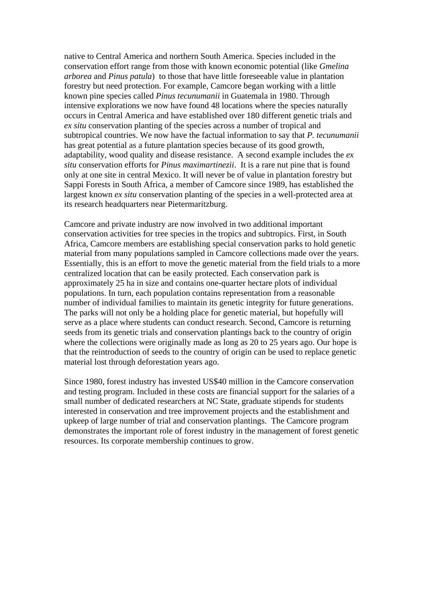native to Central America and northern South America. Species included in the conservation effort range from those with known economic potential (like *Gmelina arborea* and *Pinus patula*) to those that have little foreseeable value in plantation forestry but need protection. For example, Camcore began working with a little known pine species called *Pinus tecunumanii* in Guatemala in 1980. Through intensive explorations we now have found 48 locations where the species naturally occurs in Central America and have established over 180 different genetic trials and *ex situ* conservation planting of the species across a number of tropical and subtropical countries. We now have the factual information to say that *P. tecunumanii* has great potential as a future plantation species because of its good growth, adaptability, wood quality and disease resistance. A second example includes the *ex situ* conservation efforts for *Pinus maximartinezii*. It is a rare nut pine that is found only at one site in central Mexico. It will never be of value in plantation forestry but Sappi Forests in South Africa, a member of Camcore since 1989, has established the largest known *ex situ* conservation planting of the species in a well-protected area at its research headquarters near Pietermaritzburg.

Camcore and private industry are now involved in two additional important conservation activities for tree species in the tropics and subtropics. First, in South Africa, Camcore members are establishing special conservation parks to hold genetic material from many populations sampled in Camcore collections made over the years. Essentially, this is an effort to move the genetic material from the field trials to a more centralized location that can be easily protected. Each conservation park is approximately 25 ha in size and contains one-quarter hectare plots of individual populations. In turn, each population contains representation from a reasonable number of individual families to maintain its genetic integrity for future generations. The parks will not only be a holding place for genetic material, but hopefully will serve as a place where students can conduct research. Second, Camcore is returning seeds from its genetic trials and conservation plantings back to the country of origin where the collections were originally made as long as 20 to 25 years ago. Our hope is that the reintroduction of seeds to the country of origin can be used to replace genetic material lost through deforestation years ago.

Since 1980, forest industry has invested US\$40 million in the Camcore conservation and testing program. Included in these costs are financial support for the salaries of a small number of dedicated researchers at NC State, graduate stipends for students interested in conservation and tree improvement projects and the establishment and upkeep of large number of trial and conservation plantings. The Camcore program demonstrates the important role of forest industry in the management of forest genetic resources. Its corporate membership continues to grow.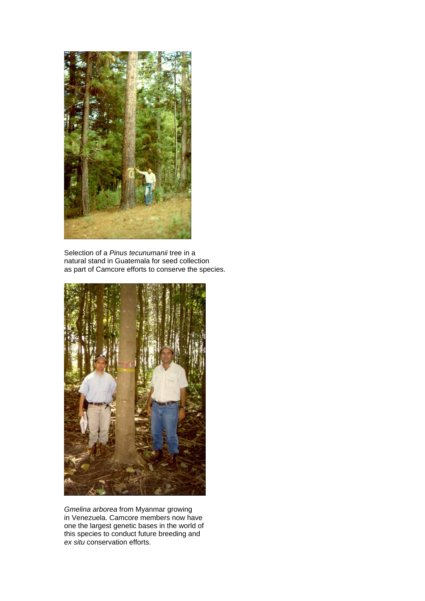

Selection of a *Pinus tecunumanii* tree in a natural stand in Guatemala for seed collection as part of Camcore efforts to conserve the species.



*Gmelina arborea* from Myanmar growing in Venezuela. Camcore members now have one the largest genetic bases in the world of this species to conduct future breeding and *ex situ* conservation efforts.